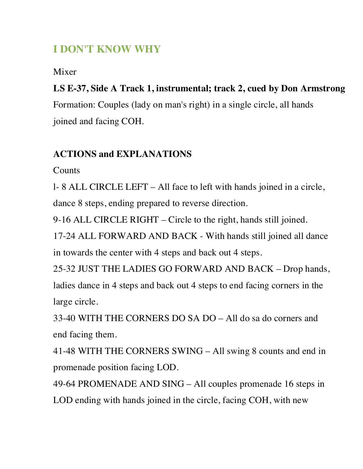## **I DON'T KNOW WHY**

Mixer

## **LS E-37, Side A Track 1, instrumental; track 2, cued by Don Armstrong**

Formation: Couples (lady on man's right) in a single circle, all hands joined and facing COH.

## **ACTIONS and EXPLANATIONS**

**Counts** 

l- 8 ALL CIRCLE LEFT – All face to left with hands joined in a circle,

dance 8 steps, ending prepared to reverse direction.

9-16 ALL CIRCLE RIGHT – Circle to the right, hands still joined.

17-24 ALL FORWARD AND BACK - With hands still joined all dance in towards the center with 4 steps and back out 4 steps.

25-32 JUST THE LADIES GO FORWARD AND BACK – Drop hands, ladies dance in 4 steps and back out 4 steps to end facing corners in the large circle.

33-40 WITH THE CORNERS DO SA DO – All do sa do corners and end facing them.

41-48 WITH THE CORNERS SWING – All swing 8 counts and end in promenade position facing LOD.

49-64 PROMENADE AND SING – All couples promenade 16 steps in LOD ending with hands joined in the circle, facing COH, with new